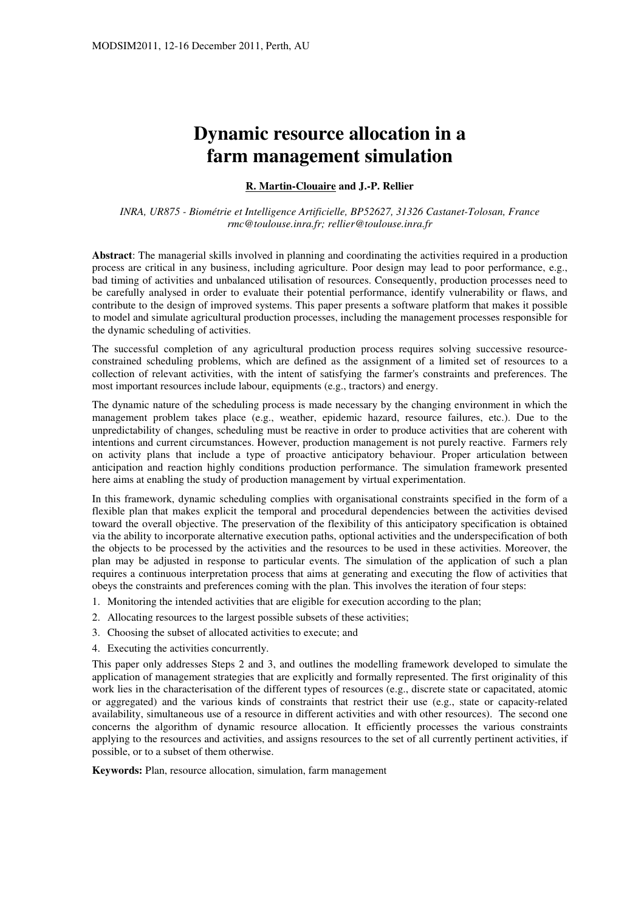# **Dynamic resource allocation in a farm management simulation**

### **R. Martin-Clouaire and J.-P. Rellier**

*INRA, UR875 - Biométrie et Intelligence Artificielle, BP52627, 31326 Castanet-Tolosan, France rmc@toulouse.inra.fr; rellier@toulouse.inra.fr*

**Abstract**: The managerial skills involved in planning and coordinating the activities required in a production process are critical in any business, including agriculture. Poor design may lead to poor performance, e.g., bad timing of activities and unbalanced utilisation of resources. Consequently, production processes need to be carefully analysed in order to evaluate their potential performance, identify vulnerability or flaws, and contribute to the design of improved systems. This paper presents a software platform that makes it possible to model and simulate agricultural production processes, including the management processes responsible for the dynamic scheduling of activities.

The successful completion of any agricultural production process requires solving successive resourceconstrained scheduling problems, which are defined as the assignment of a limited set of resources to a collection of relevant activities, with the intent of satisfying the farmer's constraints and preferences. The most important resources include labour, equipments (e.g., tractors) and energy.

The dynamic nature of the scheduling process is made necessary by the changing environment in which the management problem takes place (e.g., weather, epidemic hazard, resource failures, etc.). Due to the unpredictability of changes, scheduling must be reactive in order to produce activities that are coherent with intentions and current circumstances. However, production management is not purely reactive. Farmers rely on activity plans that include a type of proactive anticipatory behaviour. Proper articulation between anticipation and reaction highly conditions production performance. The simulation framework presented here aims at enabling the study of production management by virtual experimentation.

In this framework, dynamic scheduling complies with organisational constraints specified in the form of a flexible plan that makes explicit the temporal and procedural dependencies between the activities devised toward the overall objective. The preservation of the flexibility of this anticipatory specification is obtained via the ability to incorporate alternative execution paths, optional activities and the underspecification of both the objects to be processed by the activities and the resources to be used in these activities. Moreover, the plan may be adjusted in response to particular events. The simulation of the application of such a plan requires a continuous interpretation process that aims at generating and executing the flow of activities that obeys the constraints and preferences coming with the plan. This involves the iteration of four steps:

- 1. Monitoring the intended activities that are eligible for execution according to the plan;
- 2. Allocating resources to the largest possible subsets of these activities;
- 3. Choosing the subset of allocated activities to execute; and
- 4. Executing the activities concurrently.

This paper only addresses Steps 2 and 3, and outlines the modelling framework developed to simulate the application of management strategies that are explicitly and formally represented. The first originality of this work lies in the characterisation of the different types of resources (e.g., discrete state or capacitated, atomic or aggregated) and the various kinds of constraints that restrict their use (e.g., state or capacity-related availability, simultaneous use of a resource in different activities and with other resources). The second one concerns the algorithm of dynamic resource allocation. It efficiently processes the various constraints applying to the resources and activities, and assigns resources to the set of all currently pertinent activities, if possible, or to a subset of them otherwise.

**Keywords:** Plan, resource allocation, simulation, farm management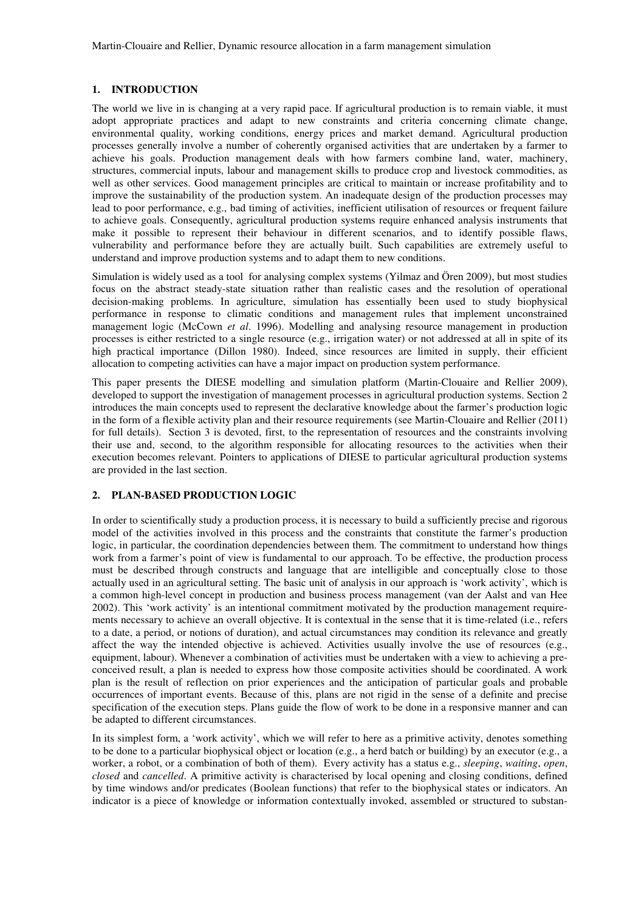## **1. INTRODUCTION**

The world we live in is changing at a very rapid pace. If agricultural production is to remain viable, it must adopt appropriate practices and adapt to new constraints and criteria concerning climate change, environmental quality, working conditions, energy prices and market demand. Agricultural production processes generally involve a number of coherently organised activities that are undertaken by a farmer to achieve his goals. Production management deals with how farmers combine land, water, machinery, structures, commercial inputs, labour and management skills to produce crop and livestock commodities, as well as other services. Good management principles are critical to maintain or increase profitability and to improve the sustainability of the production system. An inadequate design of the production processes may lead to poor performance, e.g., bad timing of activities, inefficient utilisation of resources or frequent failure to achieve goals. Consequently, agricultural production systems require enhanced analysis instruments that make it possible to represent their behaviour in different scenarios, and to identify possible flaws, vulnerability and performance before they are actually built. Such capabilities are extremely useful to understand and improve production systems and to adapt them to new conditions.

Simulation is widely used as a tool for analysing complex systems (Yilmaz and Ören 2009), but most studies focus on the abstract steady-state situation rather than realistic cases and the resolution of operational decision-making problems. In agriculture, simulation has essentially been used to study biophysical performance in response to climatic conditions and management rules that implement unconstrained management logic (McCown *et al*. 1996). Modelling and analysing resource management in production processes is either restricted to a single resource (e.g., irrigation water) or not addressed at all in spite of its high practical importance (Dillon 1980). Indeed, since resources are limited in supply, their efficient allocation to competing activities can have a major impact on production system performance.

This paper presents the DIESE modelling and simulation platform (Martin-Clouaire and Rellier 2009), developed to support the investigation of management processes in agricultural production systems. Section 2 introduces the main concepts used to represent the declarative knowledge about the farmer's production logic in the form of a flexible activity plan and their resource requirements (see Martin-Clouaire and Rellier (2011) for full details). Section 3 is devoted, first, to the representation of resources and the constraints involving their use and, second, to the algorithm responsible for allocating resources to the activities when their execution becomes relevant. Pointers to applications of DIESE to particular agricultural production systems are provided in the last section.

#### **2. PLAN-BASED PRODUCTION LOGIC**

In order to scientifically study a production process, it is necessary to build a sufficiently precise and rigorous model of the activities involved in this process and the constraints that constitute the farmer's production logic, in particular, the coordination dependencies between them. The commitment to understand how things work from a farmer's point of view is fundamental to our approach. To be effective, the production process must be described through constructs and language that are intelligible and conceptually close to those actually used in an agricultural setting. The basic unit of analysis in our approach is 'work activity', which is a common high-level concept in production and business process management (van der Aalst and van Hee 2002). This 'work activity' is an intentional commitment motivated by the production management requirements necessary to achieve an overall objective. It is contextual in the sense that it is time-related (i.e., refers to a date, a period, or notions of duration), and actual circumstances may condition its relevance and greatly affect the way the intended objective is achieved. Activities usually involve the use of resources (e.g., equipment, labour). Whenever a combination of activities must be undertaken with a view to achieving a preconceived result, a plan is needed to express how those composite activities should be coordinated. A work plan is the result of reflection on prior experiences and the anticipation of particular goals and probable occurrences of important events. Because of this, plans are not rigid in the sense of a definite and precise specification of the execution steps. Plans guide the flow of work to be done in a responsive manner and can be adapted to different circumstances.

In its simplest form, a 'work activity', which we will refer to here as a primitive activity, denotes something to be done to a particular biophysical object or location (e.g., a herd batch or building) by an executor (e.g., a worker, a robot, or a combination of both of them). Every activity has a status e.g., *sleeping*, *waiting*, *open*, *closed* and *cancelled*. A primitive activity is characterised by local opening and closing conditions, defined by time windows and/or predicates (Boolean functions) that refer to the biophysical states or indicators. An indicator is a piece of knowledge or information contextually invoked, assembled or structured to substan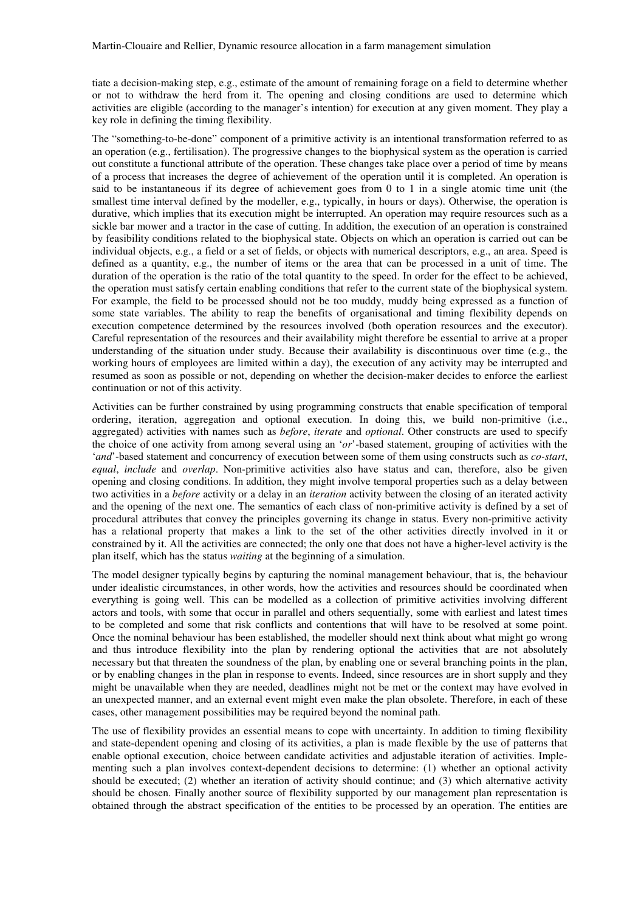tiate a decision-making step, e.g., estimate of the amount of remaining forage on a field to determine whether or not to withdraw the herd from it. The opening and closing conditions are used to determine which activities are eligible (according to the manager's intention) for execution at any given moment. They play a key role in defining the timing flexibility.

The "something-to-be-done" component of a primitive activity is an intentional transformation referred to as an operation (e.g., fertilisation). The progressive changes to the biophysical system as the operation is carried out constitute a functional attribute of the operation. These changes take place over a period of time by means of a process that increases the degree of achievement of the operation until it is completed. An operation is said to be instantaneous if its degree of achievement goes from 0 to 1 in a single atomic time unit (the smallest time interval defined by the modeller, e.g., typically, in hours or days). Otherwise, the operation is durative, which implies that its execution might be interrupted. An operation may require resources such as a sickle bar mower and a tractor in the case of cutting. In addition, the execution of an operation is constrained by feasibility conditions related to the biophysical state. Objects on which an operation is carried out can be individual objects, e.g., a field or a set of fields, or objects with numerical descriptors, e.g., an area. Speed is defined as a quantity, e.g., the number of items or the area that can be processed in a unit of time. The duration of the operation is the ratio of the total quantity to the speed. In order for the effect to be achieved, the operation must satisfy certain enabling conditions that refer to the current state of the biophysical system. For example, the field to be processed should not be too muddy, muddy being expressed as a function of some state variables. The ability to reap the benefits of organisational and timing flexibility depends on execution competence determined by the resources involved (both operation resources and the executor). Careful representation of the resources and their availability might therefore be essential to arrive at a proper understanding of the situation under study. Because their availability is discontinuous over time (e.g., the working hours of employees are limited within a day), the execution of any activity may be interrupted and resumed as soon as possible or not, depending on whether the decision-maker decides to enforce the earliest continuation or not of this activity.

Activities can be further constrained by using programming constructs that enable specification of temporal ordering, iteration, aggregation and optional execution. In doing this, we build non-primitive (i.e., aggregated) activities with names such as *before*, *iterate* and *optional*. Other constructs are used to specify the choice of one activity from among several using an '*or*'-based statement, grouping of activities with the '*and*'-based statement and concurrency of execution between some of them using constructs such as *co-start*, *equal*, *include* and *overlap*. Non-primitive activities also have status and can, therefore, also be given opening and closing conditions. In addition, they might involve temporal properties such as a delay between two activities in a *before* activity or a delay in an *iteration* activity between the closing of an iterated activity and the opening of the next one. The semantics of each class of non-primitive activity is defined by a set of procedural attributes that convey the principles governing its change in status. Every non-primitive activity has a relational property that makes a link to the set of the other activities directly involved in it or constrained by it. All the activities are connected; the only one that does not have a higher-level activity is the plan itself, which has the status *waiting* at the beginning of a simulation.

The model designer typically begins by capturing the nominal management behaviour, that is, the behaviour under idealistic circumstances, in other words, how the activities and resources should be coordinated when everything is going well. This can be modelled as a collection of primitive activities involving different actors and tools, with some that occur in parallel and others sequentially, some with earliest and latest times to be completed and some that risk conflicts and contentions that will have to be resolved at some point. Once the nominal behaviour has been established, the modeller should next think about what might go wrong and thus introduce flexibility into the plan by rendering optional the activities that are not absolutely necessary but that threaten the soundness of the plan, by enabling one or several branching points in the plan, or by enabling changes in the plan in response to events. Indeed, since resources are in short supply and they might be unavailable when they are needed, deadlines might not be met or the context may have evolved in an unexpected manner, and an external event might even make the plan obsolete. Therefore, in each of these cases, other management possibilities may be required beyond the nominal path.

The use of flexibility provides an essential means to cope with uncertainty. In addition to timing flexibility and state-dependent opening and closing of its activities, a plan is made flexible by the use of patterns that enable optional execution, choice between candidate activities and adjustable iteration of activities. Implementing such a plan involves context-dependent decisions to determine: (1) whether an optional activity should be executed; (2) whether an iteration of activity should continue; and (3) which alternative activity should be chosen. Finally another source of flexibility supported by our management plan representation is obtained through the abstract specification of the entities to be processed by an operation. The entities are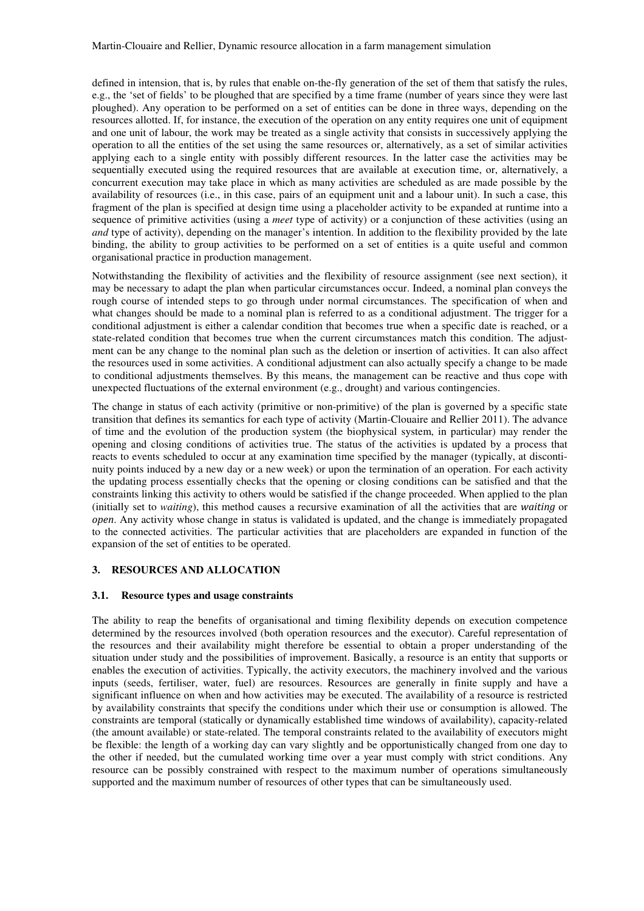defined in intension, that is, by rules that enable on-the-fly generation of the set of them that satisfy the rules, e.g., the 'set of fields' to be ploughed that are specified by a time frame (number of years since they were last ploughed). Any operation to be performed on a set of entities can be done in three ways, depending on the resources allotted. If, for instance, the execution of the operation on any entity requires one unit of equipment and one unit of labour, the work may be treated as a single activity that consists in successively applying the operation to all the entities of the set using the same resources or, alternatively, as a set of similar activities applying each to a single entity with possibly different resources. In the latter case the activities may be sequentially executed using the required resources that are available at execution time, or, alternatively, a concurrent execution may take place in which as many activities are scheduled as are made possible by the availability of resources (i.e., in this case, pairs of an equipment unit and a labour unit). In such a case, this fragment of the plan is specified at design time using a placeholder activity to be expanded at runtime into a sequence of primitive activities (using a *meet* type of activity) or a conjunction of these activities (using an *and* type of activity), depending on the manager's intention. In addition to the flexibility provided by the late binding, the ability to group activities to be performed on a set of entities is a quite useful and common organisational practice in production management.

Notwithstanding the flexibility of activities and the flexibility of resource assignment (see next section), it may be necessary to adapt the plan when particular circumstances occur. Indeed, a nominal plan conveys the rough course of intended steps to go through under normal circumstances. The specification of when and what changes should be made to a nominal plan is referred to as a conditional adjustment. The trigger for a conditional adjustment is either a calendar condition that becomes true when a specific date is reached, or a state-related condition that becomes true when the current circumstances match this condition. The adjustment can be any change to the nominal plan such as the deletion or insertion of activities. It can also affect the resources used in some activities. A conditional adjustment can also actually specify a change to be made to conditional adjustments themselves. By this means, the management can be reactive and thus cope with unexpected fluctuations of the external environment (e.g., drought) and various contingencies.

The change in status of each activity (primitive or non-primitive) of the plan is governed by a specific state transition that defines its semantics for each type of activity (Martin-Clouaire and Rellier 2011). The advance of time and the evolution of the production system (the biophysical system, in particular) may render the opening and closing conditions of activities true. The status of the activities is updated by a process that reacts to events scheduled to occur at any examination time specified by the manager (typically, at discontinuity points induced by a new day or a new week) or upon the termination of an operation. For each activity the updating process essentially checks that the opening or closing conditions can be satisfied and that the constraints linking this activity to others would be satisfied if the change proceeded. When applied to the plan (initially set to *waiting*), this method causes a recursive examination of all the activities that are *waiting* or *open*. Any activity whose change in status is validated is updated, and the change is immediately propagated to the connected activities. The particular activities that are placeholders are expanded in function of the expansion of the set of entities to be operated.

## **3. RESOURCES AND ALLOCATION**

## **3.1. Resource types and usage constraints**

The ability to reap the benefits of organisational and timing flexibility depends on execution competence determined by the resources involved (both operation resources and the executor). Careful representation of the resources and their availability might therefore be essential to obtain a proper understanding of the situation under study and the possibilities of improvement. Basically, a resource is an entity that supports or enables the execution of activities. Typically, the activity executors, the machinery involved and the various inputs (seeds, fertiliser, water, fuel) are resources. Resources are generally in finite supply and have a significant influence on when and how activities may be executed. The availability of a resource is restricted by availability constraints that specify the conditions under which their use or consumption is allowed. The constraints are temporal (statically or dynamically established time windows of availability), capacity-related (the amount available) or state-related. The temporal constraints related to the availability of executors might be flexible: the length of a working day can vary slightly and be opportunistically changed from one day to the other if needed, but the cumulated working time over a year must comply with strict conditions. Any resource can be possibly constrained with respect to the maximum number of operations simultaneously supported and the maximum number of resources of other types that can be simultaneously used.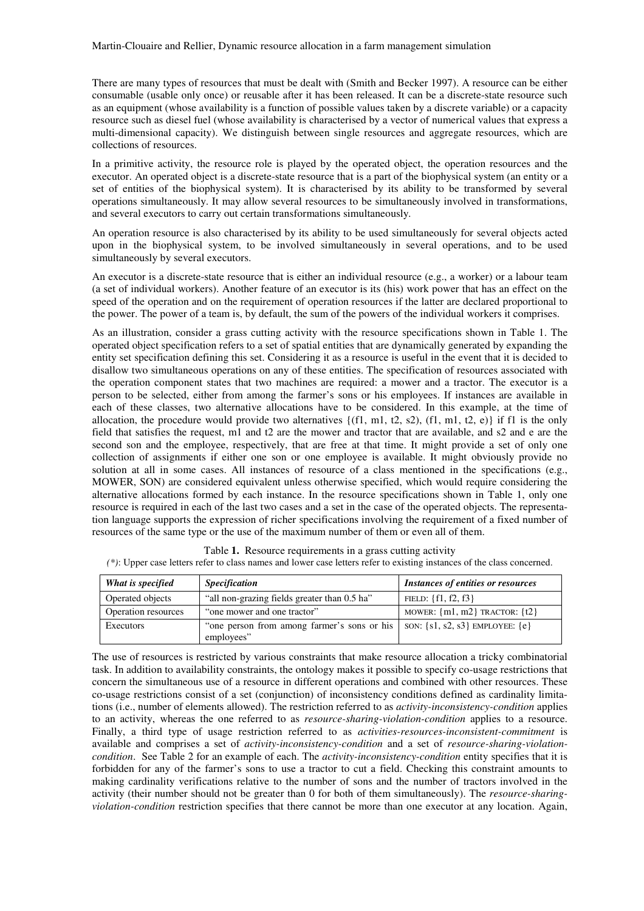There are many types of resources that must be dealt with (Smith and Becker 1997). A resource can be either consumable (usable only once) or reusable after it has been released. It can be a discrete-state resource such as an equipment (whose availability is a function of possible values taken by a discrete variable) or a capacity resource such as diesel fuel (whose availability is characterised by a vector of numerical values that express a multi-dimensional capacity). We distinguish between single resources and aggregate resources, which are collections of resources.

In a primitive activity, the resource role is played by the operated object, the operation resources and the executor. An operated object is a discrete-state resource that is a part of the biophysical system (an entity or a set of entities of the biophysical system). It is characterised by its ability to be transformed by several operations simultaneously. It may allow several resources to be simultaneously involved in transformations, and several executors to carry out certain transformations simultaneously*.* 

An operation resource is also characterised by its ability to be used simultaneously for several objects acted upon in the biophysical system, to be involved simultaneously in several operations, and to be used simultaneously by several executors.

An executor is a discrete-state resource that is either an individual resource (e.g., a worker) or a labour team (a set of individual workers). Another feature of an executor is its (his) work power that has an effect on the speed of the operation and on the requirement of operation resources if the latter are declared proportional to the power. The power of a team is, by default, the sum of the powers of the individual workers it comprises.

As an illustration, consider a grass cutting activity with the resource specifications shown in Table 1. The operated object specification refers to a set of spatial entities that are dynamically generated by expanding the entity set specification defining this set. Considering it as a resource is useful in the event that it is decided to disallow two simultaneous operations on any of these entities. The specification of resources associated with the operation component states that two machines are required: a mower and a tractor. The executor is a person to be selected, either from among the farmer's sons or his employees. If instances are available in each of these classes, two alternative allocations have to be considered. In this example, at the time of allocation, the procedure would provide two alternatives  ${(f1, m1, t2, s2), (f1, m1, t2, e)}$  if f1 is the only field that satisfies the request, m1 and t2 are the mower and tractor that are available, and s2 and e are the second son and the employee, respectively, that are free at that time. It might provide a set of only one collection of assignments if either one son or one employee is available. It might obviously provide no solution at all in some cases. All instances of resource of a class mentioned in the specifications (e.g., MOWER, SON) are considered equivalent unless otherwise specified, which would require considering the alternative allocations formed by each instance. In the resource specifications shown in Table 1, only one resource is required in each of the last two cases and a set in the case of the operated objects. The representation language supports the expression of richer specifications involving the requirement of a fixed number of resources of the same type or the use of the maximum number of them or even all of them.

| What is specified   | <b>Specification</b>                                                                                | <b>Instances of entities or resources</b> |
|---------------------|-----------------------------------------------------------------------------------------------------|-------------------------------------------|
| Operated objects    | "all non-grazing fields greater than 0.5 ha"                                                        | FIELD: $\{f1, f2, f3\}$                   |
| Operation resources | "one mower and one tractor"                                                                         | MOWER: $\{m1, m2\}$ TRACTOR: $\{t2\}$     |
| Executors           | "one person from among farmer's sons or his   SON: $\{s1, s2, s3\}$ EMPLOYEE: $\{e\}$<br>employees" |                                           |

Table **1.** Resource requirements in a grass cutting activity *(\*)*: Upper case letters refer to class names and lower case letters refer to existing instances of the class concerned.

The use of resources is restricted by various constraints that make resource allocation a tricky combinatorial task. In addition to availability constraints, the ontology makes it possible to specify co-usage restrictions that concern the simultaneous use of a resource in different operations and combined with other resources. These co-usage restrictions consist of a set (conjunction) of inconsistency conditions defined as cardinality limitations (i.e., number of elements allowed). The restriction referred to as *activity-inconsistency-condition* applies to an activity, whereas the one referred to as *resource-sharing-violation-condition* applies to a resource. Finally, a third type of usage restriction referred to as *activities-resources-inconsistent-commitment* is available and comprises a set of *activity-inconsistency-condition* and a set of *resource-sharing-violationcondition*. See Table 2 for an example of each. The *activity-inconsistency-condition* entity specifies that it is forbidden for any of the farmer's sons to use a tractor to cut a field. Checking this constraint amounts to making cardinality verifications relative to the number of sons and the number of tractors involved in the activity (their number should not be greater than 0 for both of them simultaneously). The *resource-sharingviolation-condition* restriction specifies that there cannot be more than one executor at any location. Again,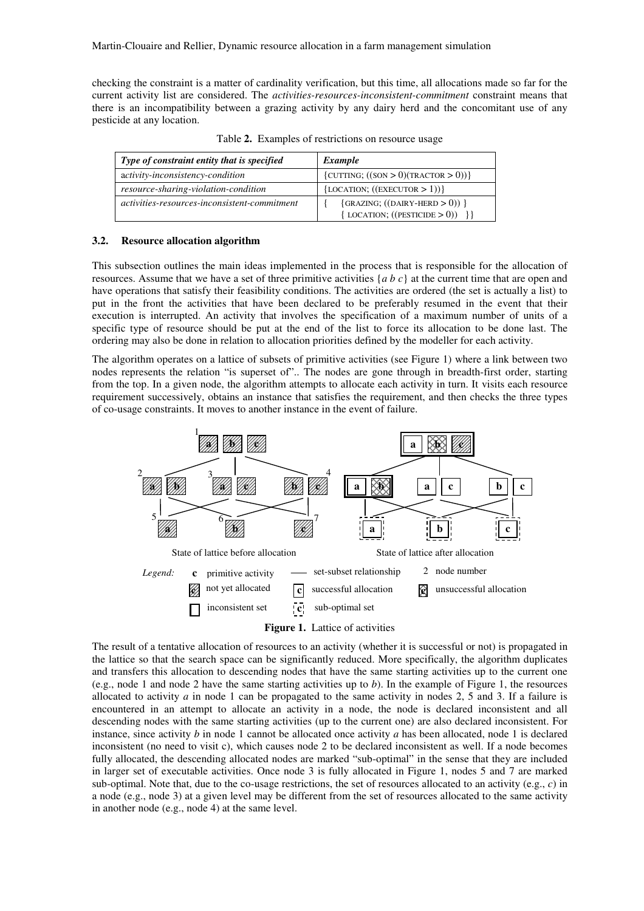checking the constraint is a matter of cardinality verification, but this time, all allocations made so far for the current activity list are considered. The *activities-resources-inconsistent-commitment* constraint means that there is an incompatibility between a grazing activity by any dairy herd and the concomitant use of any pesticide at any location.

| Type of constraint entity that is specified  | Example                                                                    |  |
|----------------------------------------------|----------------------------------------------------------------------------|--|
| activity-inconsistency-condition             | {CUTTING; $((\text{SON} > 0)(\text{TRACTOR} > 0))$ }                       |  |
| resource-sharing-violation-condition         | ${LOCATION; ((EXECUTOR > 1))}$                                             |  |
| activities-resources-inconsistent-commitment | $\{GRAZING; ((DAIRY-HERD > 0))\}$<br>$\{$ LOCATION; $(($ PESTICIDE > 0)) } |  |

Table **2.** Examples of restrictions on resource usage

#### **3.2. Resource allocation algorithm**

This subsection outlines the main ideas implemented in the process that is responsible for the allocation of resources. Assume that we have a set of three primitive activities {*a b c*} at the current time that are open and have operations that satisfy their feasibility conditions. The activities are ordered (the set is actually a list) to put in the front the activities that have been declared to be preferably resumed in the event that their execution is interrupted. An activity that involves the specification of a maximum number of units of a specific type of resource should be put at the end of the list to force its allocation to be done last. The ordering may also be done in relation to allocation priorities defined by the modeller for each activity.

The algorithm operates on a lattice of subsets of primitive activities (see Figure 1) where a link between two nodes represents the relation "is superset of".. The nodes are gone through in breadth-first order, starting from the top. In a given node, the algorithm attempts to allocate each activity in turn. It visits each resource requirement successively, obtains an instance that satisfies the requirement, and then checks the three types of co-usage constraints. It moves to another instance in the event of failure.



Figure 1. Lattice of activities

The result of a tentative allocation of resources to an activity (whether it is successful or not) is propagated in the lattice so that the search space can be significantly reduced. More specifically, the algorithm duplicates and transfers this allocation to descending nodes that have the same starting activities up to the current one (e.g., node 1 and node 2 have the same starting activities up to *b*). In the example of Figure 1, the resources allocated to activity  $a$  in node 1 can be propagated to the same activity in nodes 2, 5 and 3. If a failure is encountered in an attempt to allocate an activity in a node, the node is declared inconsistent and all descending nodes with the same starting activities (up to the current one) are also declared inconsistent. For instance, since activity *b* in node 1 cannot be allocated once activity *a* has been allocated, node 1 is declared inconsistent (no need to visit c), which causes node 2 to be declared inconsistent as well. If a node becomes fully allocated, the descending allocated nodes are marked "sub-optimal" in the sense that they are included in larger set of executable activities. Once node 3 is fully allocated in Figure 1, nodes 5 and 7 are marked sub-optimal. Note that, due to the co-usage restrictions, the set of resources allocated to an activity (e.g., *c*) in a node (e.g., node 3) at a given level may be different from the set of resources allocated to the same activity in another node (e.g., node 4) at the same level.